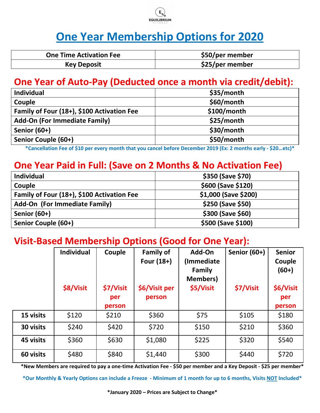

# **One Year Membership Options for 2020**

| <b>One Time Activation Fee</b> | \$50/per member |
|--------------------------------|-----------------|
| <b>Key Deposit</b>             | \$25/per member |

## **One Year of Auto-Pay (Deducted once a month via credit/debit):**

| \$35/month    |
|---------------|
| \$60/month    |
| $$100/m$ onth |
| \$25/month    |
| \$30/month    |
| \$50/month    |
|               |

**\*Cancellation Fee of \$10 per every month that you cancel before December 2019 (Ex: 2 months early - \$20…etc)\*** 

# **One Year Paid in Full: (Save on 2 Months & No Activation Fee)**

| <b>Individual</b>                          | \$350 (Save \$70)    |
|--------------------------------------------|----------------------|
| Couple                                     | \$600 (Save \$120)   |
| Family of Four (18+), \$100 Activation Fee | \$1,000 (Save \$200) |
| <b>Add-On (For Immediate Family)</b>       | \$250 (Save \$50)    |
| Senior (60+)                               | \$300 (Save \$60)    |
| Senior Couple (60+)                        | \$500 (Save \$100)   |

# **Visit-Based Membership Options (Good for One Year):**

|           | <b>Individual</b><br>\$8/Visit | Couple<br>\$7/Visit<br>per<br>person | <b>Family of</b><br>Four $(18+)$<br>\$6/Visit per<br>person | Add-On<br>(Immediate<br>Family<br><b>Members</b> )<br>\$5/Visit | <b>Senior (60+)</b><br>\$7/Visit | <b>Senior</b><br>Couple<br>$(60+)$<br>\$6/Visit<br>per<br>person |
|-----------|--------------------------------|--------------------------------------|-------------------------------------------------------------|-----------------------------------------------------------------|----------------------------------|------------------------------------------------------------------|
| 15 visits | \$120                          | \$210                                | \$360                                                       | \$75                                                            | \$105                            | \$180                                                            |
| 30 visits | \$240                          | \$420                                | \$720                                                       | \$150                                                           | \$210                            | \$360                                                            |
| 45 visits | \$360                          | \$630                                | \$1,080                                                     | \$225                                                           | \$320                            | \$540                                                            |
| 60 visits | \$480                          | \$840                                | \$1,440                                                     | \$300                                                           | \$440                            | \$720                                                            |

**\*New Members are required to pay a one-time Activation Fee - \$50 per member and a Key Deposit - \$25 per member\*** 

**\*Our Monthly & Yearly Options can include a Freeze - Minimum of 1 month for up to 6 months, Visits NOT Included\***